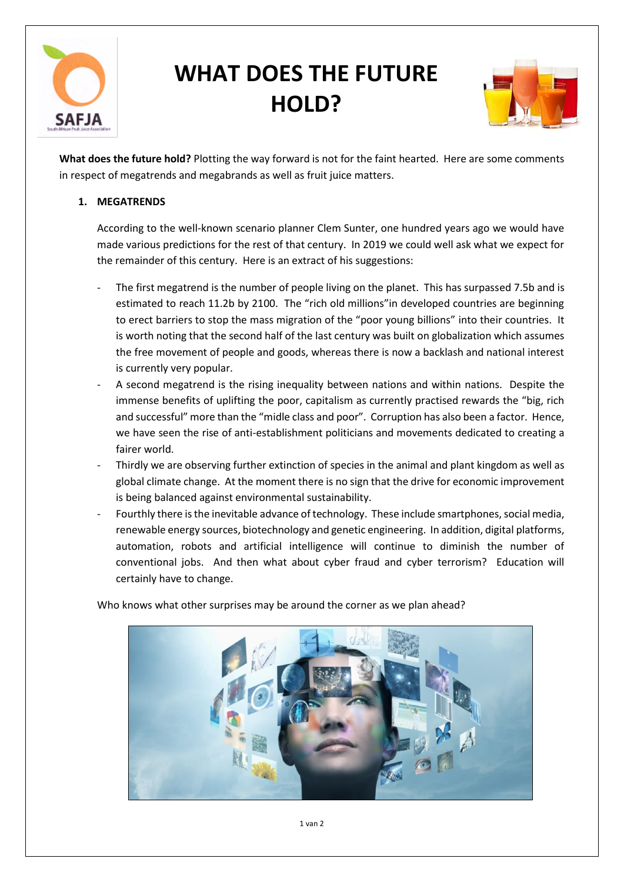

## **WHAT DOES THE FUTURE HOLD?**



**What does the future hold?** Plotting the way forward is not for the faint hearted. Here are some comments in respect of megatrends and megabrands as well as fruit juice matters.

## **1. MEGATRENDS**

According to the well-known scenario planner Clem Sunter, one hundred years ago we would have made various predictions for the rest of that century. In 2019 we could well ask what we expect for the remainder of this century. Here is an extract of his suggestions:

- The first megatrend is the number of people living on the planet. This has surpassed 7.5b and is estimated to reach 11.2b by 2100. The "rich old millions"in developed countries are beginning to erect barriers to stop the mass migration of the "poor young billions" into their countries. It is worth noting that the second half of the last century was built on globalization which assumes the free movement of people and goods, whereas there is now a backlash and national interest is currently very popular.
- A second megatrend is the rising inequality between nations and within nations. Despite the immense benefits of uplifting the poor, capitalism as currently practised rewards the "big, rich and successful" more than the "midle class and poor". Corruption has also been a factor. Hence, we have seen the rise of anti-establishment politicians and movements dedicated to creating a fairer world.
- Thirdly we are observing further extinction of species in the animal and plant kingdom as well as global climate change. At the moment there is no sign that the drive for economic improvement is being balanced against environmental sustainability.
- Fourthly there is the inevitable advance of technology. These include smartphones, social media, renewable energy sources, biotechnology and genetic engineering. In addition, digital platforms, automation, robots and artificial intelligence will continue to diminish the number of conventional jobs. And then what about cyber fraud and cyber terrorism? Education will certainly have to change.

Who knows what other surprises may be around the corner as we plan ahead?